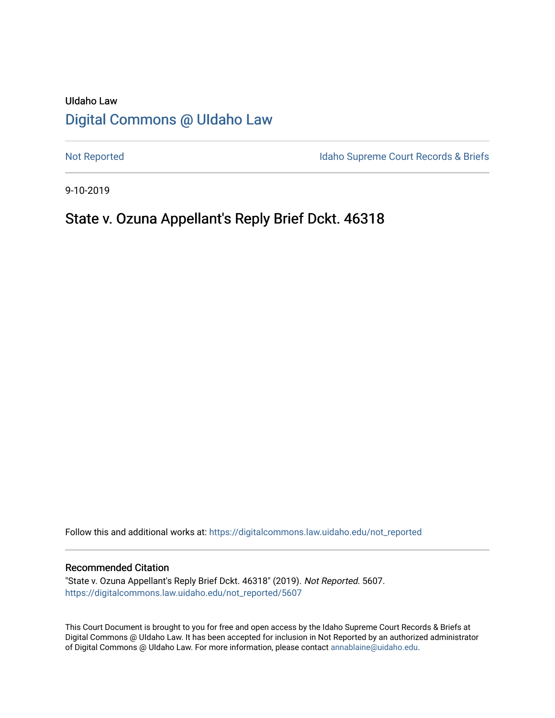# UIdaho Law [Digital Commons @ UIdaho Law](https://digitalcommons.law.uidaho.edu/)

[Not Reported](https://digitalcommons.law.uidaho.edu/not_reported) **Idaho Supreme Court Records & Briefs** 

9-10-2019

# State v. Ozuna Appellant's Reply Brief Dckt. 46318

Follow this and additional works at: [https://digitalcommons.law.uidaho.edu/not\\_reported](https://digitalcommons.law.uidaho.edu/not_reported?utm_source=digitalcommons.law.uidaho.edu%2Fnot_reported%2F5607&utm_medium=PDF&utm_campaign=PDFCoverPages) 

#### Recommended Citation

"State v. Ozuna Appellant's Reply Brief Dckt. 46318" (2019). Not Reported. 5607. [https://digitalcommons.law.uidaho.edu/not\\_reported/5607](https://digitalcommons.law.uidaho.edu/not_reported/5607?utm_source=digitalcommons.law.uidaho.edu%2Fnot_reported%2F5607&utm_medium=PDF&utm_campaign=PDFCoverPages)

This Court Document is brought to you for free and open access by the Idaho Supreme Court Records & Briefs at Digital Commons @ UIdaho Law. It has been accepted for inclusion in Not Reported by an authorized administrator of Digital Commons @ UIdaho Law. For more information, please contact [annablaine@uidaho.edu](mailto:annablaine@uidaho.edu).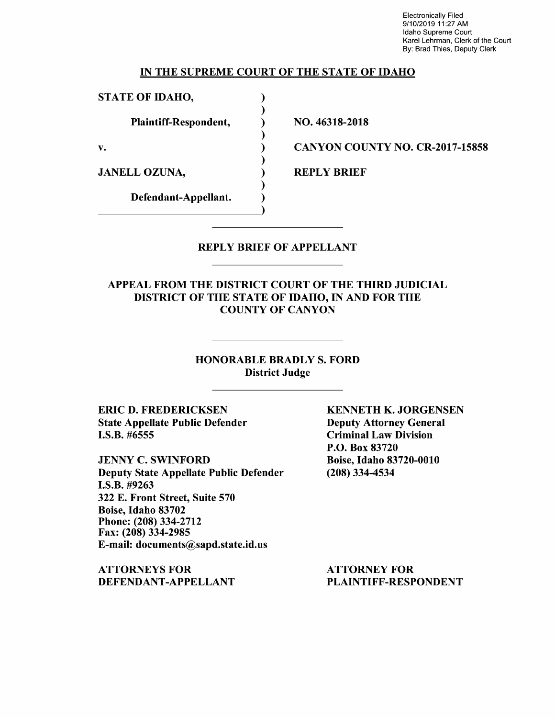Electronically Filed 9/10/2019 11:27 AM Idaho Supreme Court Karel Lehrman, Clerk of the Court By: Brad Thies, Deputy Clerk

#### IN THE SUPREME COURT OF THE STATE OF IDAHO

) ) ) ) ) ) ) ) )

STATE OF IDAHO,

Plaintiff-Respondent,

v.

JANELL OZUNA,

Defendant-Appellant.

NO. 46318-2018

CANYON COUNTY NO. CR-2017-15858

REPLY BRIEF

### REPLY BRIEF OF APPELLANT

APPEAL FROM THE DISTRICT COURT OF THE THIRD JUDICIAL DISTRICT OF THE STATE OF IDAHO, IN AND FOR THE COUNTY OF CANYON

> HONORABLE BRADLY S. FORD District Judge

ERIC D. FREDERICKSEN State Appellate Public Defender I.S.B. #6555

JENNY C. SWINFORD Deputy State Appellate Public Defender I.S.B. #9263 322 E. Front Street, Suite 570 Boise, Idaho 83702 Phone: (208) 334-2712 Fax: (208) 334-2985 E-mail: documents@sapd.state.id.us

ATTORNEYS FOR DEFENDANT-APPELLANT KENNETH K. JORGENSEN Deputy Attorney General Criminal Law Division P.O. Box 83720 Boise, Idaho 83720-0010 (208) 334-4534

ATTORNEY FOR PLAINTIFF-RESPONDENT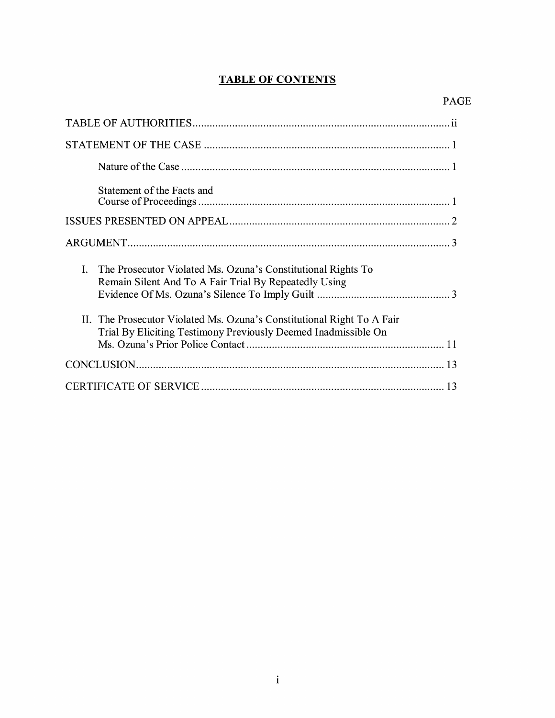## **TABLE OF CONTENTS**

| Statement of the Facts and                                                                                                                 |
|--------------------------------------------------------------------------------------------------------------------------------------------|
|                                                                                                                                            |
|                                                                                                                                            |
| The Prosecutor Violated Ms. Ozuna's Constitutional Rights To<br>Ι.<br>Remain Silent And To A Fair Trial By Repeatedly Using                |
| The Prosecutor Violated Ms. Ozuna's Constitutional Right To A Fair<br>П.<br>Trial By Eliciting Testimony Previously Deemed Inadmissible On |
|                                                                                                                                            |
|                                                                                                                                            |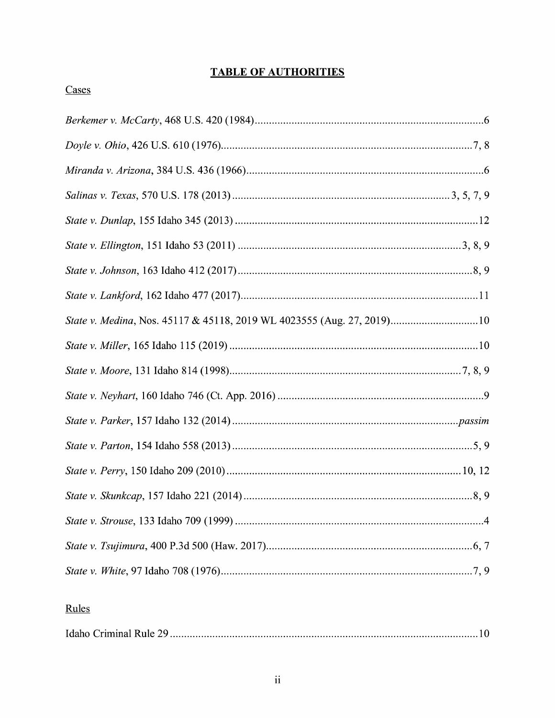## **TABLE OF AUTHORITIES**

# Cases

# Rules

|--|--|--|--|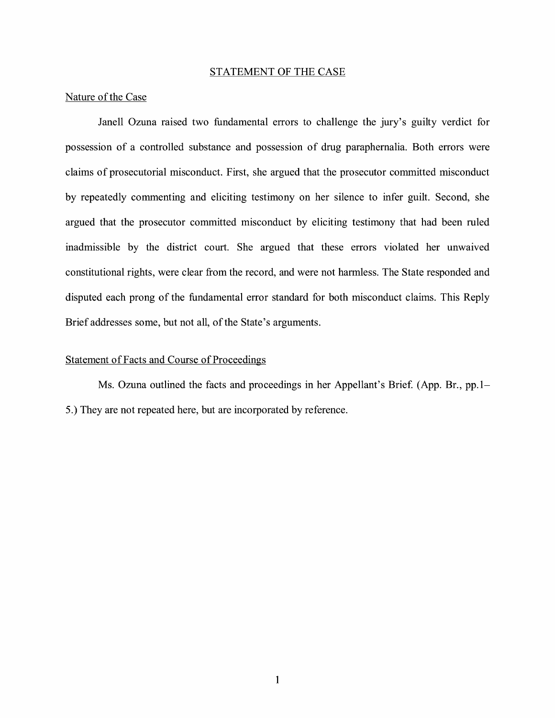#### STATEMENT OF THE CASE

#### Nature of the Case

Janell Ozuna raised two fundamental errors to challenge the jury's guilty verdict for possession of a controlled substance and possession of drug paraphernalia. Both errors were claims of prosecutorial misconduct. First, she argued that the prosecutor committed misconduct by repeatedly commenting and eliciting testimony on her silence to infer guilt. Second, she argued that the prosecutor committed misconduct by eliciting testimony that had been ruled inadmissible by the district court. She argued that these errors violated her unwaived constitutional rights, were clear from the record, and were not harmless. The State responded and disputed each prong of the fundamental error standard for both misconduct claims. This Reply Brief addresses some, but not all, of the State's arguments.

#### Statement of Facts and Course of Proceedings

Ms. Ozuna outlined the facts and proceedings in her Appellant's Brief. (App. Br., pp. 1– 5.) They are not repeated here, but are incorporated by reference.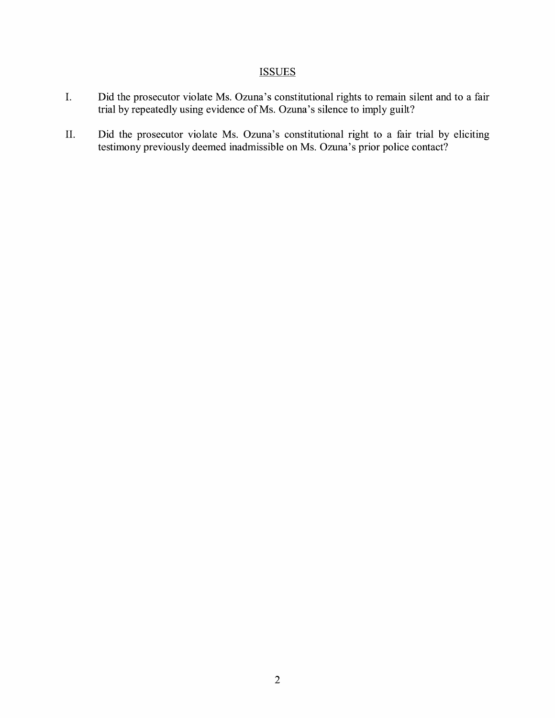### **ISSUES**

- I. Did the prosecutor violate Ms. Ozuna's constitutional rights to remain silent and to a fair trial by repeatedly using evidence of Ms. Ozuna's silence to imply guilt?
- II. Did the prosecutor violate Ms. Ozuna's constitutional right to a fair trial by eliciting testimony previously deemed inadmissible on Ms. Ozuna's prior police contact?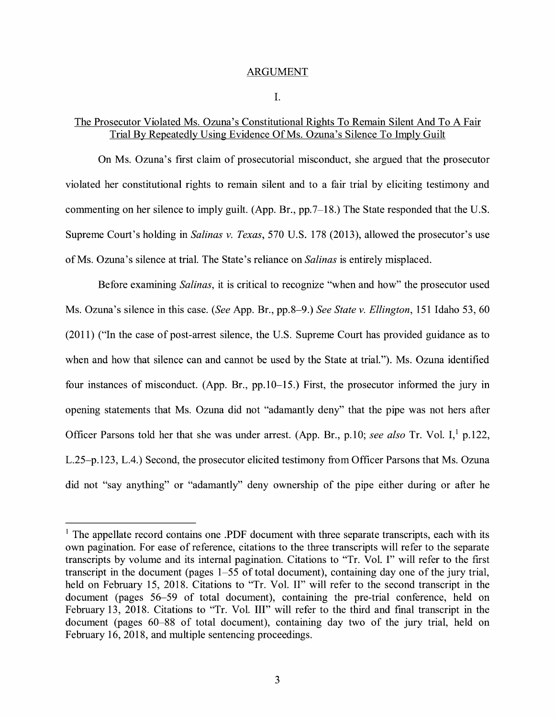#### ARGUMENT

#### I.

#### The Prosecutor Violated Ms. Ozuna's Constitutional Rights To Remain Silent And To A Fair Trial By Repeatedly Using Evidence Of Ms. Ozuna's Silence To Imply Guilt

On Ms. Ozuna's first claim of prosecutorial misconduct, she argued that the prosecutor violated her constitutional rights to remain silent and to a fair trial by eliciting testimony and commenting on her silence to imply guilt. (App. Br., pp.7-18.) The State responded that the U.S. Supreme Court's holding in *Salinas v. Texas,* 570 U.S. 178 (2013), allowed the prosecutor's use of Ms. Ozuna's silence at trial. The State's reliance on *Salinas* is entirely misplaced.

Before examining *Salinas,* it is critical to recognize "when and how" the prosecutor used Ms. Ozuna's silence in this case. *(See* App. Br., pp.8-9.) *See State v. Ellington,* 151 Idaho 53, 60 (2011) ("In the case of post-arrest silence, the U.S. Supreme Court has provided guidance as to when and how that silence can and cannot be used by the State at trial."). Ms. Ozuna identified four instances of misconduct. (App. Br., pp.10-15.) First, the prosecutor informed the jury in opening statements that Ms. Ozuna did not "adamantly deny" that the pipe was not hers after Officer Parsons told her that she was under arrest. (App. Br., p.10; *see also* Tr. Vol. I,<sup>1</sup> p.122, L.25-p.123, L.4.) Second, the prosecutor elicited testimony from Officer Parsons that Ms. Ozuna did not "say anything" or "adamantly" deny ownership of the pipe either during or after he

 $<sup>1</sup>$  The appellate record contains one .PDF document with three separate transcripts, each with its</sup> own pagination. For ease of reference, citations to the three transcripts will refer to the separate transcripts by volume and its internal pagination. Citations to "Tr. Vol. I" will refer to the first transcript in the document (pages 1-55 of total document), containing day one of the jury trial, held on February 15, 2018. Citations to "Tr. Vol. II" will refer to the second transcript in the document (pages 56-59 of total document), containing the pre-trial conference, held on February 13, 2018. Citations to "Tr. Vol. III" will refer to the third and final transcript in the document (pages 60-88 of total document), containing day two of the jury trial, held on February 16, 2018, and multiple sentencing proceedings.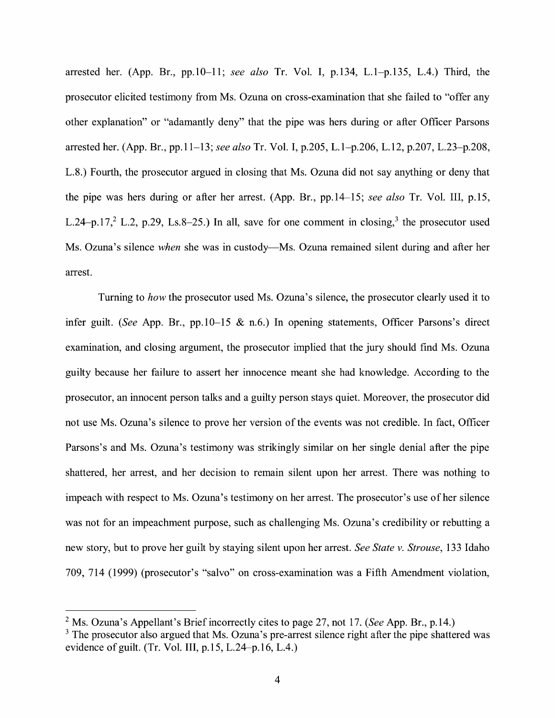arrested her. (App. Br., pp.10-11; *see also* Tr. Vol. I, p.134, L.1-p.135, L.4.) Third, the prosecutor elicited testimony from Ms. Ozuna on cross-examination that she failed to "offer any other explanation" or "adamantly deny" that the pipe was hers during or after Officer Parsons arrested her. (App. Br., pp.11-13; *see also* Tr. Vol. I, p.205, L.1-p.206, L.12, p.207, L.23-p.208, L.8.) Fourth, the prosecutor argued in closing that Ms. Ozuna did not say anything or deny that the pipe was hers during or after her arrest. (App. Br., pp.14-15; *see also* Tr. Vol. III, p.15, L.24-p.17,<sup>2</sup> L.2, p.29, Ls.8-25.) In all, save for one comment in closing,<sup>3</sup> the prosecutor used Ms. Ozuna's silence *when* she was in custody—Ms. Ozuna remained silent during and after her arrest.

Turning to *how* the prosecutor used Ms. Ozuna's silence, the prosecutor clearly used it to infer guilt. *(See* App. Br., pp.10-15 & n.6.) In opening statements, Officer Parsons's direct examination, and closing argument, the prosecutor implied that the jury should find Ms. Ozuna guilty because her failure to assert her innocence meant she had knowledge. According to the prosecutor, an innocent person talks and a guilty person stays quiet. Moreover, the prosecutor did not use Ms. Ozuna's silence to prove her version of the events was not credible. In fact, Officer Parsons's and Ms. Ozuna's testimony was strikingly similar on her single denial after the pipe shattered, her arrest, and her decision to remain silent upon her arrest. There was nothing to impeach with respect to Ms. Ozuna's testimony on her arrest. The prosecutor's use of her silence was not for an impeachment purpose, such as challenging Ms. Ozuna's credibility or rebutting a new story, but to prove her guilt by staying silent upon her arrest. *See State v. Strouse,* 133 Idaho 709, 714 (1999) (prosecutor's "salvo" on cross-examination was a Fifth Amendment violation,

<sup>2</sup>Ms. Ozuna's Appellant's Brief incorrectly cites to page 27, not 17. *(See* App. Br., p.14.)

 $3$  The prosecutor also argued that Ms. Ozuna's pre-arrest silence right after the pipe shattered was evidence of guilt. (Tr. Vol. III, p.15, L.24-p.16, L.4.)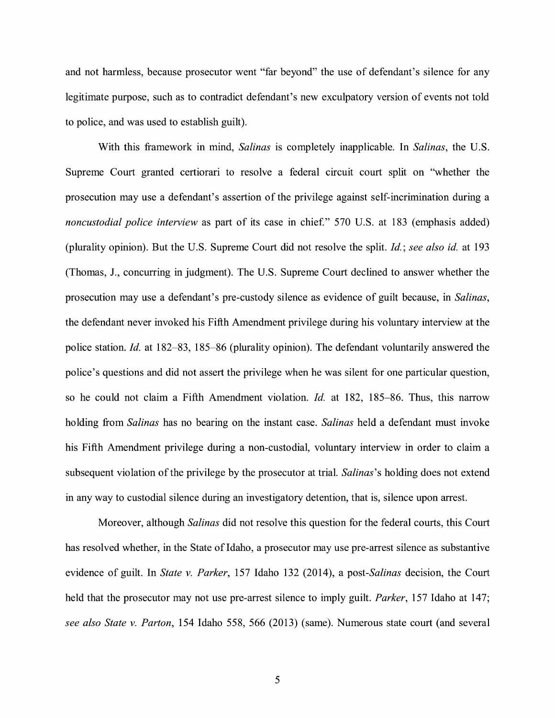and not harmless, because prosecutor went "far beyond" the use of defendant's silence for any legitimate purpose, such as to contradict defendant's new exculpatory version of events not told to police, and was used to establish guilt).

With this framework in mind, *Salinas* is completely inapplicable. In *Salinas,* the U.S. Supreme Court granted certiorari to resolve a federal circuit court split on "whether the prosecution may use a defendant's assertion of the privilege against self-incrimination during a *noncustodial police interview* as part of its case in chief." 570 U.S. at 183 (emphasis added) (plurality opinion). But the U.S. Supreme Court did not resolve the split. *Id.; see also id.* at 193 (Thomas, J., concurring in judgment). The U.S. Supreme Court declined to answer whether the prosecution may use a defendant's pre-custody silence as evidence of guilt because, in *Salinas,*  the defendant never invoked his Fifth Amendment privilege during his voluntary interview at the police station. *Id.* at 182-83, 185-86 (plurality opinion). The defendant voluntarily answered the police's questions and did not assert the privilege when he was silent for one particular question, so he could not claim a Fifth Amendment violation. *Id.* at 182, 185-86. Thus, this narrow holding from *Salinas* has no bearing on the instant case. *Salinas* held a defendant must invoke his Fifth Amendment privilege during a non-custodial, voluntary interview in order to claim a subsequent violation of the privilege by the prosecutor at trial. *Salinas's* holding does not extend in any way to custodial silence during an investigatory detention, that is, silence upon arrest.

Moreover, although *Salinas* did not resolve this question for the federal courts, this Court has resolved whether, in the State of Idaho, a prosecutor may use pre-arrest silence as substantive evidence of guilt. In *State v. Parker,* 157 Idaho 132 (2014), a *post-Salinas* decision, the Court held that the prosecutor may not use pre-arrest silence to imply guilt. *Parker,* 157 Idaho at 147; *see also State v. Parton,* 154 Idaho 558, 566 (2013) (same). Numerous state court (and several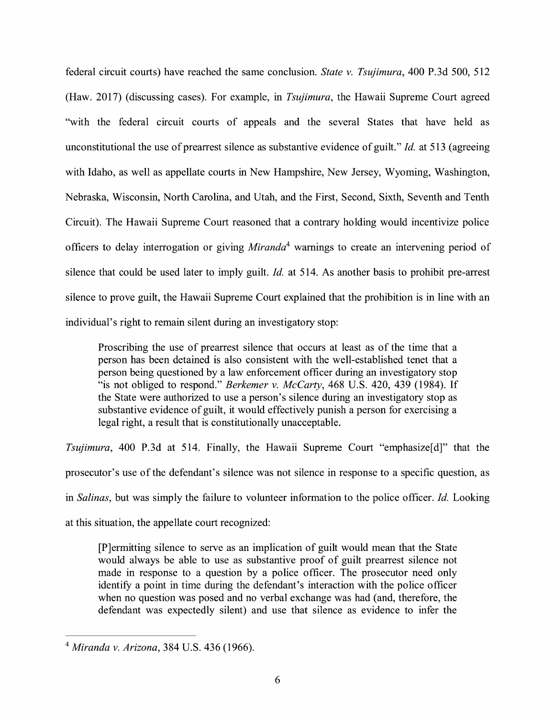federal circuit courts) have reached the same conclusion. *State v. Tsujimura,* 400 P.3d 500, 512 (Haw. 2017) (discussing cases). For example, in *Tsujimura,* the Hawaii Supreme Court agreed "with the federal circuit courts of appeals and the several States that have held as unconstitutional the use of prearrest silence as substantive evidence of guilt." *Id.* at 513 ( agreeing with Idaho, as well as appellate courts in New Hampshire, New Jersey, Wyoming, Washington, Nebraska, Wisconsin, North Carolina, and Utah, and the First, Second, Sixth, Seventh and Tenth Circuit). The Hawaii Supreme Court reasoned that a contrary holding would incentivize police officers to delay interrogation or giving *Miranda*<sup>4</sup> warnings to create an intervening period of silence that could be used later to imply guilt. *Id.* at 514. As another basis to prohibit pre-arrest silence to prove guilt, the Hawaii Supreme Court explained that the prohibition is in line with an individual's right to remain silent during an investigatory stop:

Proscribing the use of prearrest silence that occurs at least as of the time that a person has been detained is also consistent with the well-established tenet that a person being questioned by a law enforcement officer during an investigatory stop "is not obliged to respond." *Berkemer v. McCarty,* 468 U.S. 420, 439 (1984). If the State were authorized to use a person's silence during an investigatory stop as substantive evidence of guilt, it would effectively punish a person for exercising a legal right, a result that is constitutionally unacceptable.

*Tsujimura,* 400 P.3d at 514. Finally, the Hawaii Supreme Court "emphasize[d]" that the prosecutor's use of the defendant's silence was not silence in response to a specific question, as in *Salinas,* but was simply the failure to volunteer information to the police officer. *Id.* Looking at this situation, the appellate court recognized:

[P]ermitting silence to serve as an implication of guilt would mean that the State would always be able to use as substantive proof of guilt prearrest silence not made in response to a question by a police officer. The prosecutor need only identify a point in time during the defendant's interaction with the police officer when no question was posed and no verbal exchange was had (and, therefore, the defendant was expectedly silent) and use that silence as evidence to infer the

<sup>4</sup>*Miranda v. Arizona,* 384 U.S. 436 (1966).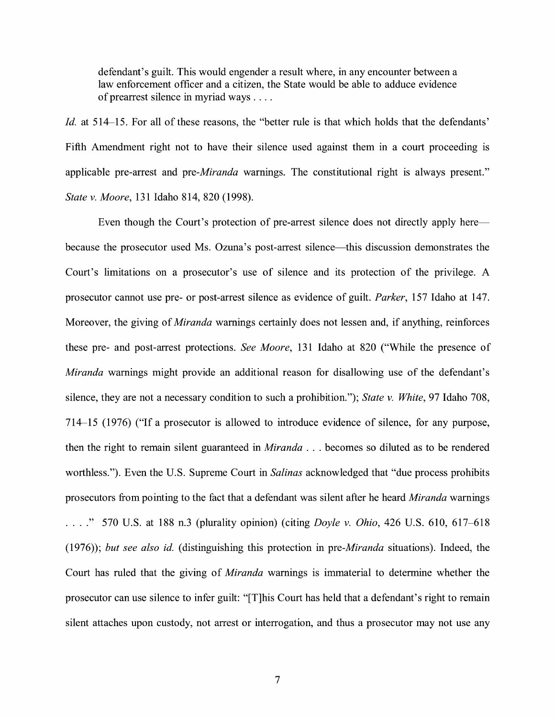defendant's guilt. This would engender a result where, in any encounter between a law enforcement officer and a citizen, the State would be able to adduce evidence of prearrest silence in myriad ways ....

*Id.* at 514–15. For all of these reasons, the "better rule is that which holds that the defendants' Fifth Amendment right not to have their silence used against them in a court proceeding is applicable pre-arrest and *pre-Miranda* warnings. The constitutional right is always present." *State v. Moore,* 131 Idaho 814, 820 (1998).

Even though the Court's protection of pre-arrest silence does not directly apply here because the prosecutor used Ms. Ozuna's post-arrest silence—this discussion demonstrates the Court's limitations on a prosecutor's use of silence and its protection of the privilege. A prosecutor cannot use pre- or post-arrest silence as evidence of guilt. *Parker,* 157 Idaho at 14 7. Moreover, the giving of *Miranda* warnings certainly does not lessen and, if anything, reinforces these pre- and post-arrest protections. *See Moore,* 131 Idaho at 820 ("While the presence of *Miranda* warnings might provide an additional reason for disallowing use of the defendant's silence, they are not a necessary condition to such a prohibition."); *State v. White,* 97 Idaho 708, 714-15 (1976) ("If a prosecutor is allowed to introduce evidence of silence, for any purpose, then the right to remain silent guaranteed in *Miranda* . . . becomes so diluted as to be rendered worthless."). Even the U.S. Supreme Court in *Salinas* acknowledged that "due process prohibits prosecutors from pointing to the fact that a defendant was silent after he heard *Miranda* warnings .... " 570 U.S. at 188 n.3 (plurality opinion) (citing *Doyle v. Ohio,* 426 U.S. 610, 617-618 (1976)); *but see also id.* (distinguishing this protection in *pre-Miranda* situations). Indeed, the Court has ruled that the giving of *Miranda* warnings is immaterial to determine whether the prosecutor can use silence to infer guilt: "[T]his Court has held that a defendant's right to remain silent attaches upon custody, not arrest or interrogation, and thus a prosecutor may not use any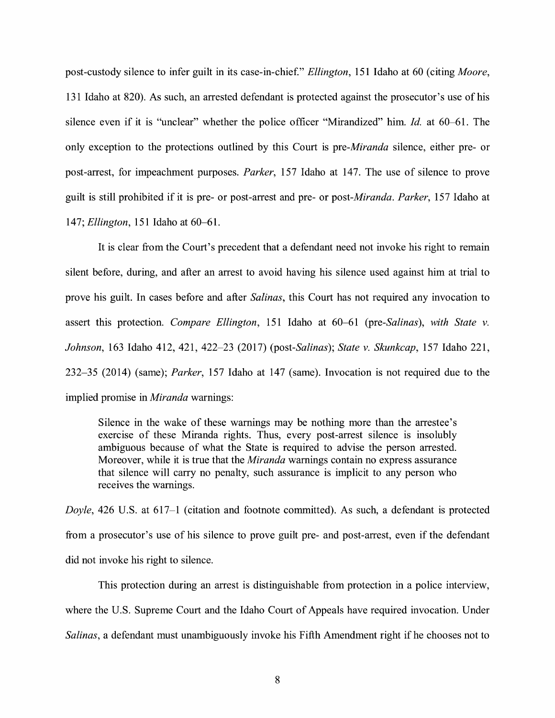post-custody silence to infer guilt in its case-in-chief." *Ellington*, 151 Idaho at 60 (citing *Moore*, 131 Idaho at 820). As such, an arrested defendant is protected against the prosecutor's use of his silence even if it is ''unclear" whether the police officer "Mirandized" him. *Id.* at 60-61. The only exception to the protections outlined by this Court is *pre-Miranda* silence, either pre- or post-arrest, for impeachment purposes. *Parker*, 157 Idaho at 147. The use of silence to prove guilt is still prohibited if it is pre- or post-arrest and pre- or *post-Miranda. Parker,* 157 Idaho at 14 7; *Ellington,* 151 Idaho at 60-61.

It is clear from the Court's precedent that a defendant need not invoke his right to remain silent before, during, and after an arrest to avoid having his silence used against him at trial to prove his guilt. In cases before and after *Salinas,* this Court has not required any invocation to assert this protection. *Compare Ellington,* 151 Idaho at 60-61 *(pre-Salinas), with State v. Johnson,* 163 Idaho 412, 421, 422-23 (2017) *(post-Salinas); State v. Skunkcap,* 157 Idaho 221, 232-35 (2014) (same); *Parker,* 157 Idaho at 147 (same). Invocation is not required due to the implied promise in *Miranda* warnings:

Silence in the wake of these warnings may be nothing more than the arrestee's exercise of these Miranda rights. Thus, every post-arrest silence is insolubly ambiguous because of what the State is required to advise the person arrested. Moreover, while it is true that the *Miranda* warnings contain no express assurance that silence will carry no penalty, such assurance is implicit to any person who receives the warnings.

*Doyle,* 426 U.S. at 617-1 (citation and footnote committed). As such, a defendant is protected from a prosecutor's use of his silence to prove guilt pre- and post-arrest, even if the defendant did not invoke his right to silence.

This protection during an arrest is distinguishable from protection in a police interview, where the U.S. Supreme Court and the Idaho Court of Appeals have required invocation. Under *Salinas,* a defendant must unambiguously invoke his Fifth Amendment right if he chooses not to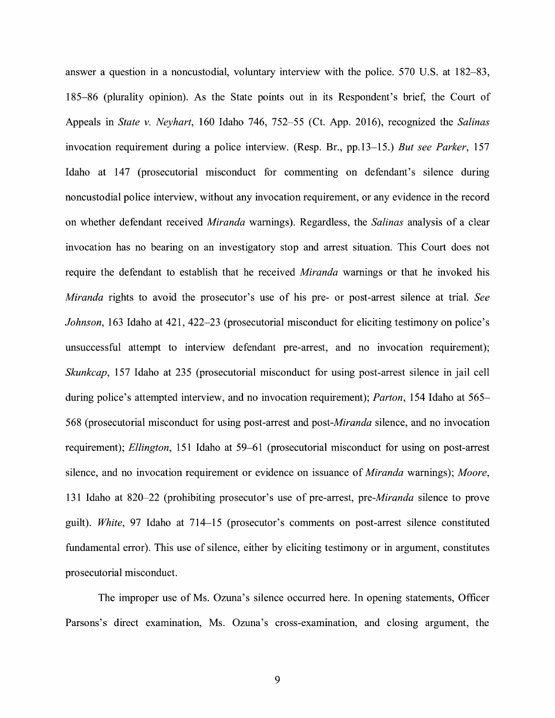answer a question in a noncustodial, voluntary interview with the police. 570 U.S. at 182-83, 185-86 (plurality opinion). As the State points out in its Respondent's brief, the Court of Appeals in *State v. Neyhart,* 160 Idaho 746, 752-55 (Ct. App. 2016), recognized the *Salinas*  invocation requirement during a police interview. (Resp. Br., pp.13-15.) *But see Parker,* 157 Idaho at 147 (prosecutorial misconduct for commenting on defendant's silence during noncustodial police interview, without any invocation requirement, or any evidence in the record on whether defendant received *Miranda* warnings). Regardless, the *Salinas* analysis of a clear invocation has no bearing on an investigatory stop and arrest situation. This Court does not require the defendant to establish that he received *Miranda* warnings or that he invoked his *Miranda* rights to avoid the prosecutor's use of his pre- or post-arrest silence at trial. *See Johnson,* 163 Idaho at 421, 422-23 (prosecutorial misconduct for eliciting testimony on police's unsuccessful attempt to interview defendant pre-arrest, and no invocation requirement); *Skunkcap,* 157 Idaho at 235 (prosecutorial misconduct for using post-arrest silence in jail cell during police's attempted interview, and no invocation requirement); *Parton,* 154 Idaho at 565- 568 (prosecutorial misconduct for using post-arrest and *post-Miranda* silence, and no invocation requirement); *Ellington,* 151 Idaho at 59-61 (prosecutorial misconduct for using on post-arrest silence, and no invocation requirement or evidence on issuance of *Miranda* warnings); *Moore,*  131 Idaho at 820-22 (prohibiting prosecutor's use of pre-arrest, *pre-Miranda* silence to prove guilt). *White,* 97 Idaho at 714-15 (prosecutor's comments on post-arrest silence constituted fundamental error). This use of silence, either by eliciting testimony or in argument, constitutes prosecutorial misconduct.

The improper use of Ms. Ozuna's silence occurred here. In opening statements, Officer Parsons's direct examination, Ms. Ozuna's cross-examination, and closing argument, the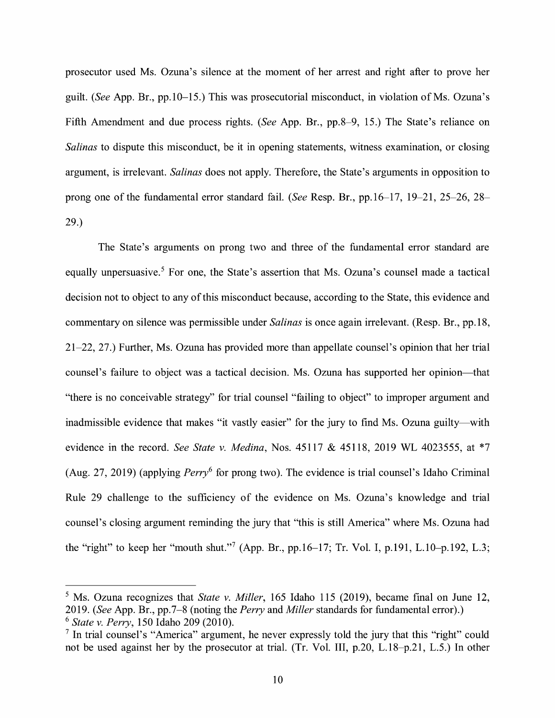prosecutor used Ms. Ozuna's silence at the moment of her arrest and right after to prove her guilt. *(See* App. Br., pp.10-15.) This was prosecutorial misconduct, in violation of Ms. Ozuna's Fifth Amendment and due process rights. *(See* App. Br., pp.8-9, 15.) The State's reliance on *Salinas* to dispute this misconduct, be it in opening statements, witness examination, or closing argument, is irrelevant. *Salinas* does not apply. Therefore, the State's arguments in opposition to prong one of the fundamental error standard fail. *(See* Resp. Br., pp.16-17, 19-21, 25-26, 28- 29.)

The State's arguments on prong two and three of the fundamental error standard are equally unpersuasive.<sup>5</sup> For one, the State's assertion that Ms. Ozuna's counsel made a tactical decision not to object to any of this misconduct because, according to the State, this evidence and commentary on silence was permissible under *Salinas* is once again irrelevant. (Resp. Br., pp.18, 21-22, 27.) Further, Ms. Ozuna has provided more than appellate counsel's opinion that her trial counsel's failure to object was a tactical decision. Ms. Ozuna has supported her opinion-that "there is no conceivable strategy" for trial counsel "failing to object" to improper argument and inadmissible evidence that makes "it vastly easier" for the jury to find Ms. Ozuna guilty—with evidence in the record. *See State v. Medina,* Nos. 45117 & 45118, 2019 WL 4023555, at \*7 (Aug. 27, 2019) (applying  $Perry<sup>6</sup>$  for prong two). The evidence is trial counsel's Idaho Criminal Rule 29 challenge to the sufficiency of the evidence on Ms. Ozuna's knowledge and trial counsel's closing argument reminding the jury that "this is still America" where Ms. Ozuna had the "right" to keep her "mouth shut."<sup>7</sup> (App. Br., pp.16–17; Tr. Vol. I, p.191, L.10–p.192, L.3;

<sup>5</sup> Ms. Ozuna recognizes that *State v. Miller,* 165 Idaho 115 (2019), became final on June 12, 2019. *(See* App. Br., pp.7-8 (noting the *Perry* and *Miller* standards for fundamental error).) <sup>6</sup>*State v. Perry,* 150 Idaho 209 (2010).

 $<sup>7</sup>$  In trial counsel's "America" argument, he never expressly told the jury that this "right" could</sup> not be used against her by the prosecutor at trial. (Tr. Vol. III, p.20, L.18-p.21, L.5.) In other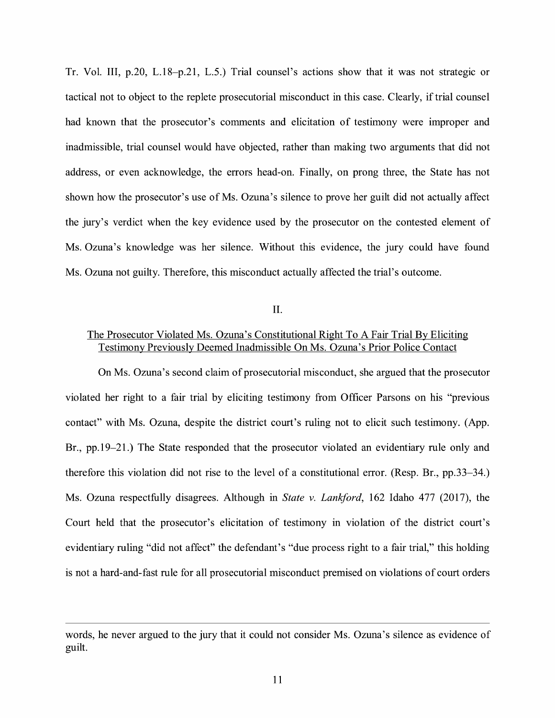Tr. Vol. III, p.20, L.18-p.21, L.5.) Trial counsel's actions show that it was not strategic or tactical not to object to the replete prosecutorial misconduct in this case. Clearly, if trial counsel had known that the prosecutor's comments and elicitation of testimony were improper and inadmissible, trial counsel would have objected, rather than making two arguments that did not address, or even acknowledge, the errors head-on. Finally, on prong three, the State has not shown how the prosecutor's use of Ms. Ozuna's silence to prove her guilt did not actually affect the jury's verdict when the key evidence used by the prosecutor on the contested element of Ms. Ozuna's knowledge was her silence. Without this evidence, the jury could have found Ms. Ozuna not guilty. Therefore, this misconduct actually affected the trial's outcome.

II.

### The Prosecutor Violated Ms. Ozuna's Constitutional Right To A Fair Trial By Eliciting Testimony Previously Deemed Inadmissible On Ms. Ozuna's Prior Police Contact

On Ms. Ozuna's second claim of prosecutorial misconduct, she argued that the prosecutor violated her right to a fair trial by eliciting testimony from Officer Parsons on his "previous contact" with Ms. Ozuna, despite the district court's ruling not to elicit such testimony. (App. Br., pp.19-21.) The State responded that the prosecutor violated an evidentiary rule only and therefore this violation did not rise to the level of a constitutional error. (Resp. Br., pp.33-34.) Ms. Ozuna respectfully disagrees. Although in *State v. Lankford*, 162 Idaho 477 (2017), the Court held that the prosecutor's elicitation of testimony in violation of the district court's evidentiary ruling "did not affect" the defendant's "due process right to a fair trial," this holding is not a hard-and-fast rule for all prosecutorial misconduct premised on violations of court orders

words, he never argued to the jury that it could not consider Ms. Ozuna's silence as evidence of guilt.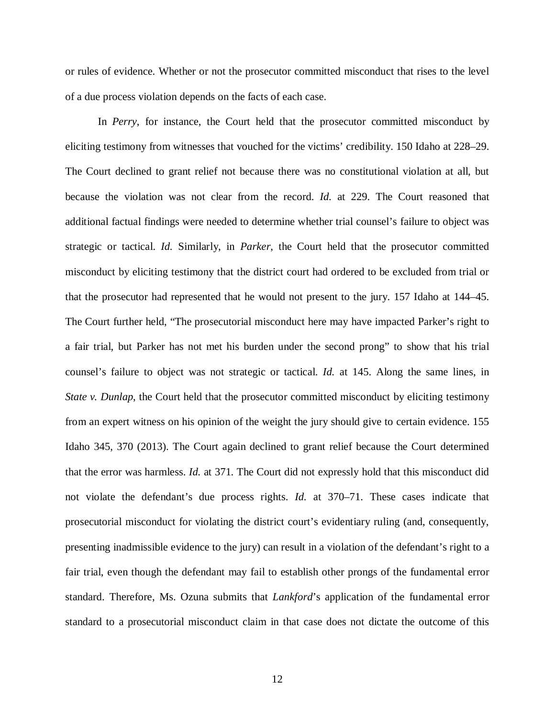or rules of evidence. Whether or not the prosecutor committed misconduct that rises to the level of a due process violation depends on the facts of each case.

In *Perry*, for instance, the Court held that the prosecutor committed misconduct by eliciting testimony from witnesses that vouched for the victims' credibility. 150 Idaho at 228–29. The Court declined to grant relief not because there was no constitutional violation at all, but because the violation was not clear from the record. *Id.* at 229. The Court reasoned that additional factual findings were needed to determine whether trial counsel's failure to object was strategic or tactical. *Id.* Similarly, in *Parker*, the Court held that the prosecutor committed misconduct by eliciting testimony that the district court had ordered to be excluded from trial or that the prosecutor had represented that he would not present to the jury. 157 Idaho at 144–45. The Court further held, "The prosecutorial misconduct here may have impacted Parker's right to a fair trial, but Parker has not met his burden under the second prong" to show that his trial counsel's failure to object was not strategic or tactical. *Id.* at 145. Along the same lines, in *State v. Dunlap*, the Court held that the prosecutor committed misconduct by eliciting testimony from an expert witness on his opinion of the weight the jury should give to certain evidence. 155 Idaho 345, 370 (2013). The Court again declined to grant relief because the Court determined that the error was harmless. *Id.* at 371. The Court did not expressly hold that this misconduct did not violate the defendant's due process rights. *Id.* at 370–71. These cases indicate that prosecutorial misconduct for violating the district court's evidentiary ruling (and, consequently, presenting inadmissible evidence to the jury) can result in a violation of the defendant's right to a fair trial, even though the defendant may fail to establish other prongs of the fundamental error standard. Therefore, Ms. Ozuna submits that *Lankford*'s application of the fundamental error standard to a prosecutorial misconduct claim in that case does not dictate the outcome of this